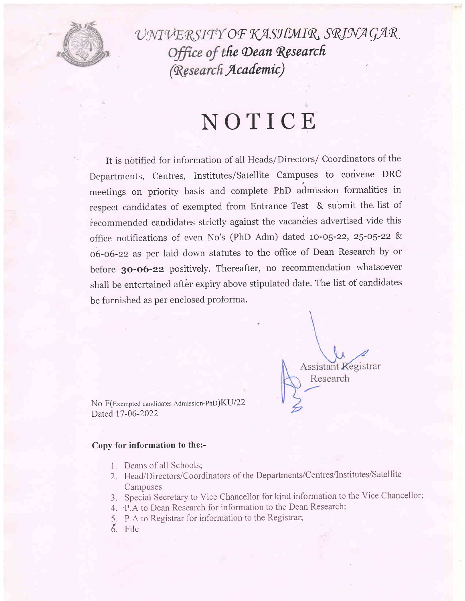

UNIVERSITY OF KASHMIR, SRINAGAR Office of the Dean Research (Research Academic)

## NOTICE

It is notified for information of all Heads/Directors/ Coordinators of the Departments, Centres, Institutes/Satellite Campuses to convene DRC meetings on priority basis and complete PhD admission formalities in respect candidates of exempted from Entrance Test & submit the list of recommended candidates strictly against the vacancies advertised vide this office notifications of even No's (PhD Adm) dated 10-05-22, 25-05-22 & 06-06-22 as per laid down statutes to the office of Dean Research by or before 30-06-22 positively. Thereafter, no recommendation whatsoever shall be entertained after expiry above stipulated date. The list of candidates be furnished as per enclosed proforma.

**Assistant Registrar** Research

No F(Exempted candidates Admission-PhD)KU/22 Dated 17-06-2022

## Copy for information to the:-

- 1. Deans of all Schools;
- 2. Head/Directors/Coordinators of the Departments/Centres/Institutes/Satellite Campuses
- 3. Special Secretary to Vice Chancellor for kind information to the Vice Chancellor;
- 4. P.A to Dean Research for information to the Dean Research;
- 5. P.A to Registrar for information to the Registrar;
- 6. File